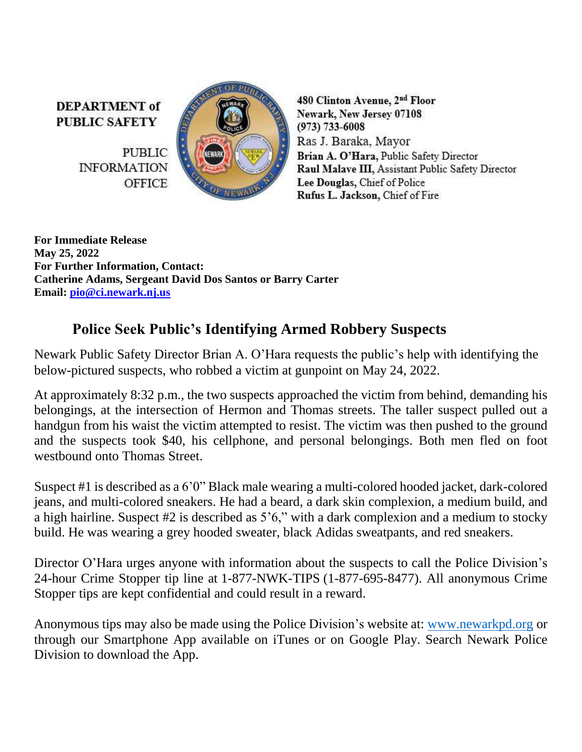**DEPARTMENT** of **PUBLIC SAFETY** 

> **PUBLIC INFORMATION OFFICE**



480 Clinton Avenue, 2<sup>nd</sup> Floor Newark, New Jersey 07108  $(973) 733 - 6008$ Ras J. Baraka, Mayor Brian A. O'Hara, Public Safety Director Raul Malave III, Assistant Public Safety Director Lee Douglas, Chief of Police Rufus L. Jackson, Chief of Fire

**For Immediate Release May 25, 2022 For Further Information, Contact: Catherine Adams, Sergeant David Dos Santos or Barry Carter Email: [pio@ci.newark.nj.us](mailto:pio@ci.newark.nj.us)**

## **Police Seek Public's Identifying Armed Robbery Suspects**

Newark Public Safety Director Brian A. O'Hara requests the public's help with identifying the below-pictured suspects, who robbed a victim at gunpoint on May 24, 2022.

At approximately 8:32 p.m., the two suspects approached the victim from behind, demanding his belongings, at the intersection of Hermon and Thomas streets. The taller suspect pulled out a handgun from his waist the victim attempted to resist. The victim was then pushed to the ground and the suspects took \$40, his cellphone, and personal belongings. Both men fled on foot westbound onto Thomas Street.

Suspect #1 is described as a 6'0" Black male wearing a multi-colored hooded jacket, dark-colored jeans, and multi-colored sneakers. He had a beard, a dark skin complexion, a medium build, and a high hairline. Suspect #2 is described as 5'6," with a dark complexion and a medium to stocky build. He was wearing a grey hooded sweater, black Adidas sweatpants, and red sneakers.

Director O'Hara urges anyone with information about the suspects to call the Police Division's 24-hour Crime Stopper tip line at 1-877-NWK-TIPS (1-877-695-8477). All anonymous Crime Stopper tips are kept confidential and could result in a reward.

Anonymous tips may also be made using the Police Division's website at: [www.newarkpd.org](https://nam11.safelinks.protection.outlook.com/?url=http%3A%2F%2Fwww.newarkpd.org%2F&data=04%7C01%7Ccarterba%40ci.newark.nj.us%7C92a82169bcc34f83ddaf08d9c4a7e14f%7C24883a20af7b4ead9b4c900a20da8933%7C0%7C0%7C637757047590426713%7CUnknown%7CTWFpbGZsb3d8eyJWIjoiMC4wLjAwMDAiLCJQIjoiV2luMzIiLCJBTiI6Ik1haWwiLCJXVCI6Mn0%3D%7C3000&sdata=jra6I1QGnzC3%2B2Pn2AXVyJZGuCjfTChzSjpqOMvnEAs%3D&reserved=0) or through our Smartphone App available on iTunes or on Google Play. Search Newark Police Division to download the App.